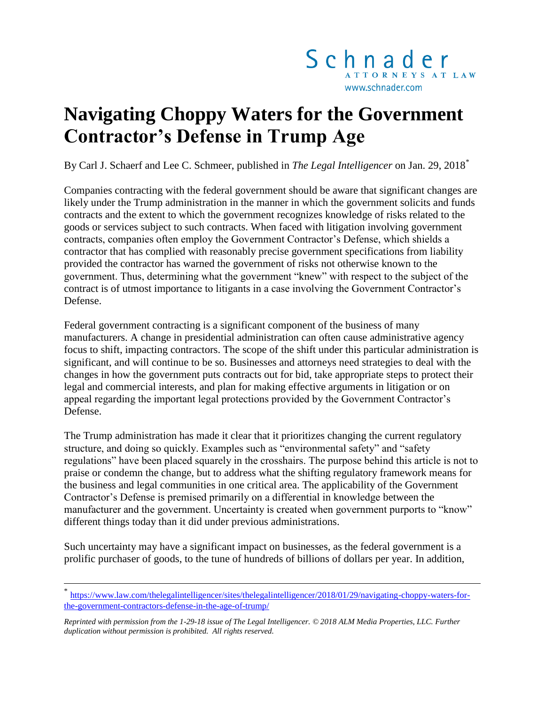

## **Navigating Choppy Waters for the Government Contractor's Defense in Trump Age**

By Carl J. Schaerf and Lee C. Schmeer, published in *The Legal Intelligencer* on Jan. 29, 2018*\**

Companies contracting with the federal government should be aware that significant changes are likely under the Trump administration in the manner in which the government solicits and funds contracts and the extent to which the government recognizes knowledge of risks related to the goods or services subject to such contracts. When faced with litigation involving government contracts, companies often employ the Government Contractor's Defense, which shields a contractor that has complied with reasonably precise government specifications from liability provided the contractor has warned the government of risks not otherwise known to the government. Thus, determining what the government "knew" with respect to the subject of the contract is of utmost importance to litigants in a case involving the Government Contractor's Defense.

Federal government contracting is a significant component of the business of many manufacturers. A change in presidential administration can often cause administrative agency focus to shift, impacting contractors. The scope of the shift under this particular administration is significant, and will continue to be so. Businesses and attorneys need strategies to deal with the changes in how the government puts contracts out for bid, take appropriate steps to protect their legal and commercial interests, and plan for making effective arguments in litigation or on appeal regarding the important legal protections provided by the Government Contractor's Defense.

The Trump administration has made it clear that it prioritizes changing the current regulatory structure, and doing so quickly. Examples such as "environmental safety" and "safety regulations" have been placed squarely in the crosshairs. The purpose behind this article is not to praise or condemn the change, but to address what the shifting regulatory framework means for the business and legal communities in one critical area. The applicability of the Government Contractor's Defense is premised primarily on a differential in knowledge between the manufacturer and the government. Uncertainty is created when government purports to "know" different things today than it did under previous administrations.

Such uncertainty may have a significant impact on businesses, as the federal government is a prolific purchaser of goods, to the tune of hundreds of billions of dollars per year. In addition,

 $\overline{a}$ 

<sup>\*</sup> [https://www.law.com/thelegalintelligencer/sites/thelegalintelligencer/2018/01/29/navigating-choppy-waters-for](https://www.law.com/thelegalintelligencer/sites/thelegalintelligencer/2018/01/29/navigating-choppy-waters-for-the-government-contractors-defense-in-the-age-of-trump/)[the-government-contractors-defense-in-the-age-of-trump/](https://www.law.com/thelegalintelligencer/sites/thelegalintelligencer/2018/01/29/navigating-choppy-waters-for-the-government-contractors-defense-in-the-age-of-trump/)

*Reprinted with permission from the 1-29-18 issue of The Legal Intelligencer. © 2018 ALM Media Properties, LLC. Further duplication without permission is prohibited. All rights reserved.*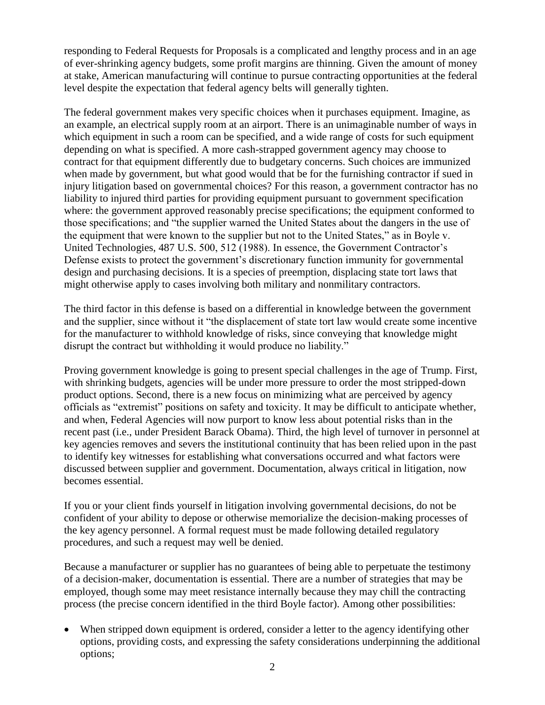responding to Federal Requests for Proposals is a complicated and lengthy process and in an age of ever-shrinking agency budgets, some profit margins are thinning. Given the amount of money at stake, American manufacturing will continue to pursue contracting opportunities at the federal level despite the expectation that federal agency belts will generally tighten.

The federal government makes very specific choices when it purchases equipment. Imagine, as an example, an electrical supply room at an airport. There is an unimaginable number of ways in which equipment in such a room can be specified, and a wide range of costs for such equipment depending on what is specified. A more cash-strapped government agency may choose to contract for that equipment differently due to budgetary concerns. Such choices are immunized when made by government, but what good would that be for the furnishing contractor if sued in injury litigation based on governmental choices? For this reason, a government contractor has no liability to injured third parties for providing equipment pursuant to government specification where: the government approved reasonably precise specifications; the equipment conformed to those specifications; and "the supplier warned the United States about the dangers in the use of the equipment that were known to the supplier but not to the United States," as in Boyle v. United Technologies, 487 U.S. 500, 512 (1988). In essence, the Government Contractor's Defense exists to protect the government's discretionary function immunity for governmental design and purchasing decisions. It is a species of preemption, displacing state tort laws that might otherwise apply to cases involving both military and nonmilitary contractors.

The third factor in this defense is based on a differential in knowledge between the government and the supplier, since without it "the displacement of state tort law would create some incentive for the manufacturer to withhold knowledge of risks, since conveying that knowledge might disrupt the contract but withholding it would produce no liability."

Proving government knowledge is going to present special challenges in the age of Trump. First, with shrinking budgets, agencies will be under more pressure to order the most stripped-down product options. Second, there is a new focus on minimizing what are perceived by agency officials as "extremist" positions on safety and toxicity. It may be difficult to anticipate whether, and when, Federal Agencies will now purport to know less about potential risks than in the recent past (i.e., under President Barack Obama). Third, the high level of turnover in personnel at key agencies removes and severs the institutional continuity that has been relied upon in the past to identify key witnesses for establishing what conversations occurred and what factors were discussed between supplier and government. Documentation, always critical in litigation, now becomes essential.

If you or your client finds yourself in litigation involving governmental decisions, do not be confident of your ability to depose or otherwise memorialize the decision-making processes of the key agency personnel. A formal request must be made following detailed regulatory procedures, and such a request may well be denied.

Because a manufacturer or supplier has no guarantees of being able to perpetuate the testimony of a decision-maker, documentation is essential. There are a number of strategies that may be employed, though some may meet resistance internally because they may chill the contracting process (the precise concern identified in the third Boyle factor). Among other possibilities:

 When stripped down equipment is ordered, consider a letter to the agency identifying other options, providing costs, and expressing the safety considerations underpinning the additional options;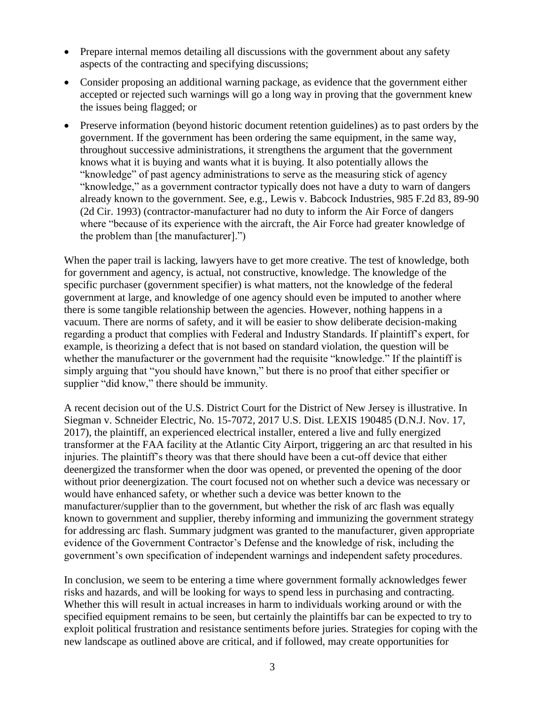- Prepare internal memos detailing all discussions with the government about any safety aspects of the contracting and specifying discussions;
- Consider proposing an additional warning package, as evidence that the government either accepted or rejected such warnings will go a long way in proving that the government knew the issues being flagged; or
- Preserve information (beyond historic document retention guidelines) as to past orders by the government. If the government has been ordering the same equipment, in the same way, throughout successive administrations, it strengthens the argument that the government knows what it is buying and wants what it is buying. It also potentially allows the "knowledge" of past agency administrations to serve as the measuring stick of agency "knowledge," as a government contractor typically does not have a duty to warn of dangers already known to the government. See, e.g., Lewis v. Babcock Industries, 985 F.2d 83, 89-90 (2d Cir. 1993) (contractor-manufacturer had no duty to inform the Air Force of dangers where "because of its experience with the aircraft, the Air Force had greater knowledge of the problem than [the manufacturer].")

When the paper trail is lacking, lawyers have to get more creative. The test of knowledge, both for government and agency, is actual, not constructive, knowledge. The knowledge of the specific purchaser (government specifier) is what matters, not the knowledge of the federal government at large, and knowledge of one agency should even be imputed to another where there is some tangible relationship between the agencies. However, nothing happens in a vacuum. There are norms of safety, and it will be easier to show deliberate decision-making regarding a product that complies with Federal and Industry Standards. If plaintiff's expert, for example, is theorizing a defect that is not based on standard violation, the question will be whether the manufacturer or the government had the requisite "knowledge." If the plaintiff is simply arguing that "you should have known," but there is no proof that either specifier or supplier "did know," there should be immunity.

A recent decision out of the U.S. District Court for the District of New Jersey is illustrative. In Siegman v. Schneider Electric, No. 15-7072, 2017 U.S. Dist. LEXIS 190485 (D.N.J. Nov. 17, 2017), the plaintiff, an experienced electrical installer, entered a live and fully energized transformer at the FAA facility at the Atlantic City Airport, triggering an arc that resulted in his injuries. The plaintiff's theory was that there should have been a cut-off device that either deenergized the transformer when the door was opened, or prevented the opening of the door without prior deenergization. The court focused not on whether such a device was necessary or would have enhanced safety, or whether such a device was better known to the manufacturer/supplier than to the government, but whether the risk of arc flash was equally known to government and supplier, thereby informing and immunizing the government strategy for addressing arc flash. Summary judgment was granted to the manufacturer, given appropriate evidence of the Government Contractor's Defense and the knowledge of risk, including the government's own specification of independent warnings and independent safety procedures.

In conclusion, we seem to be entering a time where government formally acknowledges fewer risks and hazards, and will be looking for ways to spend less in purchasing and contracting. Whether this will result in actual increases in harm to individuals working around or with the specified equipment remains to be seen, but certainly the plaintiffs bar can be expected to try to exploit political frustration and resistance sentiments before juries. Strategies for coping with the new landscape as outlined above are critical, and if followed, may create opportunities for